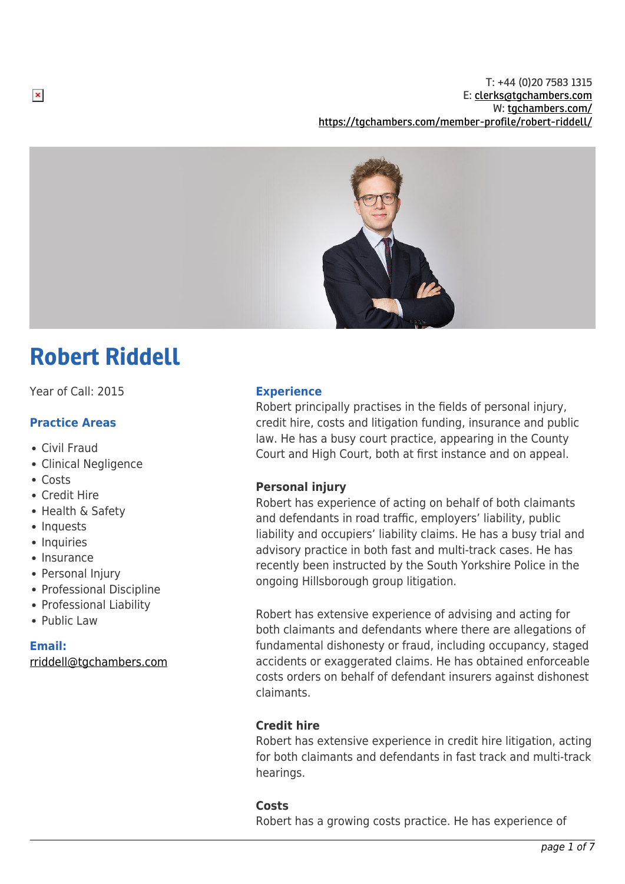T: +44 (0)20 7583 1315 E: [clerks@tgchambers.com](mailto:clerks@tgchambers.com) W: [tgchambers.com/](http://tgchambers.com/) <https://tgchambers.com/member-profile/robert-riddell/>



# Robert Riddell

Year of Call: 2015

## **Practice Areas**

- Civil Fraud
- Clinical Negligence
- Costs

 $\pmb{\times}$ 

- Credit Hire
- Health & Safety
- Inquests
- Inquiries
- Insurance
- Personal Injury
- Professional Discipline
- Professional Liability
- Public Law

### **Email:**

[rriddell@tgchambers.com](mailto:rriddell@tgchambers.com)

## **Experience**

Robert principally practises in the fields of personal injury, credit hire, costs and litigation funding, insurance and public law. He has a busy court practice, appearing in the County Court and High Court, both at first instance and on appeal.

## **Personal injury**

Robert has experience of acting on behalf of both claimants and defendants in road traffic, employers' liability, public liability and occupiers' liability claims. He has a busy trial and advisory practice in both fast and multi-track cases. He has recently been instructed by the South Yorkshire Police in the ongoing Hillsborough group litigation.

Robert has extensive experience of advising and acting for both claimants and defendants where there are allegations of fundamental dishonesty or fraud, including occupancy, staged accidents or exaggerated claims. He has obtained enforceable costs orders on behalf of defendant insurers against dishonest claimants.

## **Credit hire**

Robert has extensive experience in credit hire litigation, acting for both claimants and defendants in fast track and multi-track hearings.

## **Costs**

Robert has a growing costs practice. He has experience of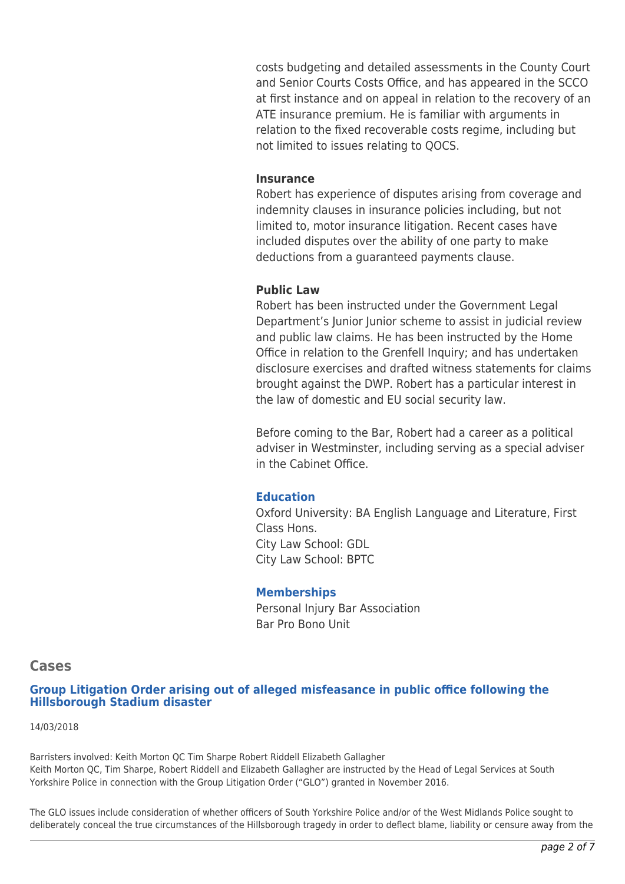costs budgeting and detailed assessments in the County Court and Senior Courts Costs Office, and has appeared in the SCCO at first instance and on appeal in relation to the recovery of an ATE insurance premium. He is familiar with arguments in relation to the fixed recoverable costs regime, including but not limited to issues relating to QOCS.

## **Insurance**

Robert has experience of disputes arising from coverage and indemnity clauses in insurance policies including, but not limited to, motor insurance litigation. Recent cases have included disputes over the ability of one party to make deductions from a guaranteed payments clause.

### **Public Law**

Robert has been instructed under the Government Legal Department's Junior Junior scheme to assist in judicial review and public law claims. He has been instructed by the Home Office in relation to the Grenfell Inquiry; and has undertaken disclosure exercises and drafted witness statements for claims brought against the DWP. Robert has a particular interest in the law of domestic and EU social security law.

Before coming to the Bar, Robert had a career as a political adviser in Westminster, including serving as a special adviser in the Cabinet Office.

## **Education**

Oxford University: BA English Language and Literature, First Class Hons. City Law School: GDL City Law School: BPTC

### **Memberships**

Personal Injury Bar Association Bar Pro Bono Unit

### **Cases**

**Group Litigation Order arising out of alleged misfeasance in public office following the Hillsborough Stadium disaster**

#### 14/03/2018

Barristers involved: Keith Morton QC Tim Sharpe Robert Riddell Elizabeth Gallagher Keith Morton QC, Tim Sharpe, Robert Riddell and Elizabeth Gallagher are instructed by the Head of Legal Services at South Yorkshire Police in connection with the Group Litigation Order ("GLO") granted in November 2016.

The GLO issues include consideration of whether officers of South Yorkshire Police and/or of the West Midlands Police sought to deliberately conceal the true circumstances of the Hillsborough tragedy in order to deflect blame, liability or censure away from the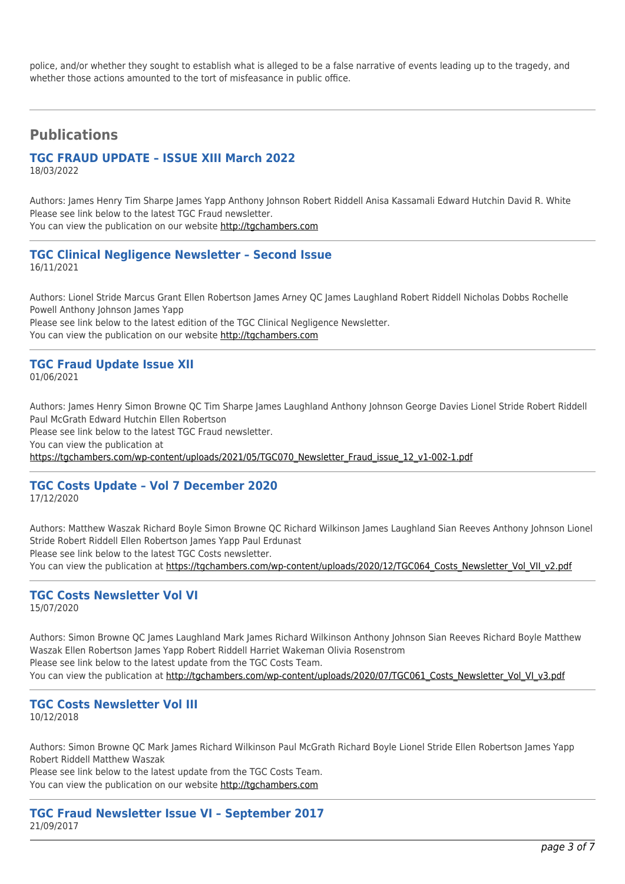police, and/or whether they sought to establish what is alleged to be a false narrative of events leading up to the tragedy, and whether those actions amounted to the tort of misfeasance in public office.

## **Publications**

## **TGC FRAUD UPDATE – ISSUE XIII March 2022**

18/03/2022

Authors: James Henry Tim Sharpe James Yapp Anthony Johnson Robert Riddell Anisa Kassamali Edward Hutchin David R. White Please see link below to the latest TGC Fraud newsletter.

You can view the publication on our website [http://tgchambers.com](https://tgchambers.com/wp-content/uploads/2022/03/TGC075_Newsletter_Fraud_issue_13_v1.pdf)

#### **TGC Clinical Negligence Newsletter – Second Issue** 16/11/2021

Authors: Lionel Stride Marcus Grant Ellen Robertson James Arney QC James Laughland Robert Riddell Nicholas Dobbs Rochelle Powell Anthony Johnson James Yapp Please see link below to the latest edition of the TGC Clinical Negligence Newsletter.

You can view the publication on our website [http://tgchambers.com](https://tgchambers.com/wp-content/uploads/2021/11/TGC073_Clin_Neg_Newsletter_Issue2_v3.pdf)

## **TGC Fraud Update Issue XII**

01/06/2021

Authors: James Henry Simon Browne QC Tim Sharpe James Laughland Anthony Johnson George Davies Lionel Stride Robert Riddell Paul McGrath Edward Hutchin Ellen Robertson

Please see link below to the latest TGC Fraud newsletter.

You can view the publication at

[https://tgchambers.com/wp-content/uploads/2021/05/TGC070\\_Newsletter\\_Fraud\\_issue\\_12\\_v1-002-1.pdf](https://tgchambers.com/wp-content/uploads/2021/05/TGC070_Newsletter_Fraud_issue_12_v1-002-1.pdf)

## **TGC Costs Update – Vol 7 December 2020**

17/12/2020

Authors: Matthew Waszak Richard Boyle Simon Browne QC Richard Wilkinson James Laughland Sian Reeves Anthony Johnson Lionel Stride Robert Riddell Ellen Robertson James Yapp Paul Erdunast Please see link below to the latest TGC Costs newsletter.

You can view the publication at https://tgchambers.com/wp-content/uploads/2020/12/TGC064 Costs\_Newsletter\_Vol\_VII\_v2.pdf

## **TGC Costs Newsletter Vol VI**

15/07/2020

Authors: Simon Browne QC James Laughland Mark James Richard Wilkinson Anthony Johnson Sian Reeves Richard Boyle Matthew Waszak Ellen Robertson James Yapp Robert Riddell Harriet Wakeman Olivia Rosenstrom Please see link below to the latest update from the TGC Costs Team. You can view the publication at [http://tgchambers.com/wp-content/uploads/2020/07/TGC061\\_Costs\\_Newsletter\\_Vol\\_VI\\_v3.pdf](http://tgchambers.com/wp-content/uploads/2020/07/TGC061_Costs_Newsletter_Vol_VI_v3.pdf)

#### **TGC Costs Newsletter Vol III** 10/12/2018

Authors: Simon Browne QC Mark James Richard Wilkinson Paul McGrath Richard Boyle Lionel Stride Ellen Robertson James Yapp Robert Riddell Matthew Waszak

Please see link below to the latest update from the TGC Costs Team. You can view the publication on our website [http://tgchambers.com](https://tgchambers.com/wp-content/uploads/2018/12/TGC043_Costs_Newsletter_Vol_III_v4.1.pdf)

#### **TGC Fraud Newsletter Issue VI – September 2017** 21/09/2017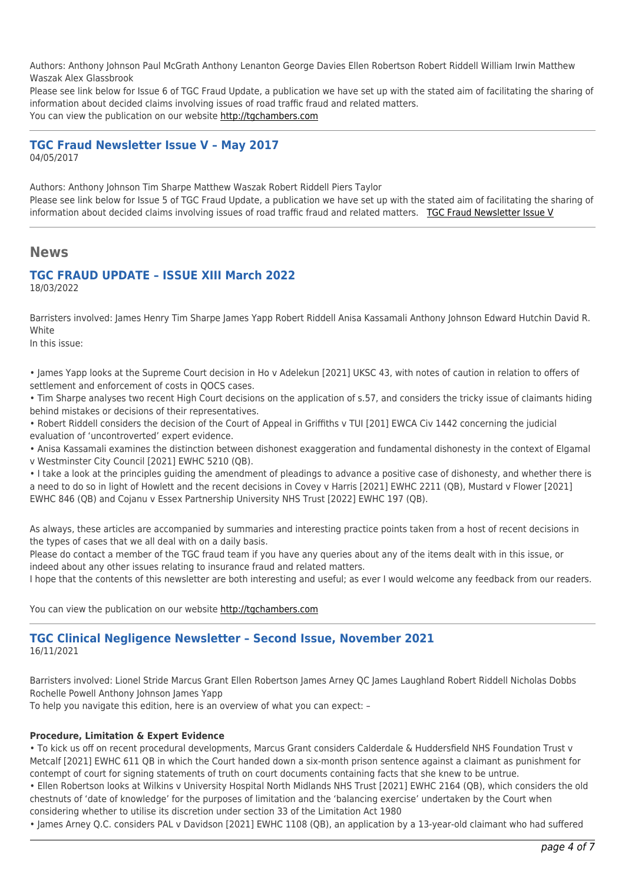Authors: Anthony Johnson Paul McGrath Anthony Lenanton George Davies Ellen Robertson Robert Riddell William Irwin Matthew Waszak Alex Glassbrook

Please see link below for Issue 6 of TGC Fraud Update, a publication we have set up with the stated aim of facilitating the sharing of information about decided claims involving issues of road traffic fraud and related matters.

You can view the publication on our website [http://tgchambers.com](https://tgchambers.com/wp-content/uploads/2017/09/TGC-Fraud-Update-Issue-VI-September-2017..pdf)

## **TGC Fraud Newsletter Issue V – May 2017**

04/05/2017

Authors: Anthony Johnson Tim Sharpe Matthew Waszak Robert Riddell Piers Taylor Please see link below for Issue 5 of TGC Fraud Update, a publication we have set up with the stated aim of facilitating the sharing of information about decided claims involving issues of road traffic fraud and related matters. [TGC Fraud Newsletter Issue V](http://tgchambers.com/wp-content/uploads/2017/05/TGC030_Newsletter_v2.pdf)

## **News**

## **TGC FRAUD UPDATE – ISSUE XIII March 2022**

18/03/2022

Barristers involved: James Henry Tim Sharpe James Yapp Robert Riddell Anisa Kassamali Anthony Johnson Edward Hutchin David R. **White** 

In this issue:

• James Yapp looks at the Supreme Court decision in Ho v Adelekun [2021] UKSC 43, with notes of caution in relation to offers of settlement and enforcement of costs in QOCS cases.

• Tim Sharpe analyses two recent High Court decisions on the application of s.57, and considers the tricky issue of claimants hiding behind mistakes or decisions of their representatives.

• Robert Riddell considers the decision of the Court of Appeal in Griffiths v TUI [201] EWCA Civ 1442 concerning the judicial evaluation of 'uncontroverted' expert evidence.

• Anisa Kassamali examines the distinction between dishonest exaggeration and fundamental dishonesty in the context of Elgamal

v Westminster City Council [2021] EWHC 5210 (QB).

• I take a look at the principles guiding the amendment of pleadings to advance a positive case of dishonesty, and whether there is a need to do so in light of Howlett and the recent decisions in Covey v Harris [2021] EWHC 2211 (QB), Mustard v Flower [2021] EWHC 846 (QB) and Cojanu v Essex Partnership University NHS Trust [2022] EWHC 197 (QB).

As always, these articles are accompanied by summaries and interesting practice points taken from a host of recent decisions in the types of cases that we all deal with on a daily basis.

Please do contact a member of the TGC fraud team if you have any queries about any of the items dealt with in this issue, or indeed about any other issues relating to insurance fraud and related matters.

I hope that the contents of this newsletter are both interesting and useful; as ever I would welcome any feedback from our readers.

You can view the publication on our website [http://tgchambers.com](https://tgchambers.com/wp-content/uploads/2022/03/TGC075_Newsletter_Fraud_issue_13_v1.pdf)

### **TGC Clinical Negligence Newsletter – Second Issue, November 2021** 16/11/2021

Barristers involved: Lionel Stride Marcus Grant Ellen Robertson James Arney QC James Laughland Robert Riddell Nicholas Dobbs Rochelle Powell Anthony Johnson James Yapp

To help you navigate this edition, here is an overview of what you can expect: –

#### **Procedure, Limitation & Expert Evidence**

• To kick us off on recent procedural developments, Marcus Grant considers Calderdale & Huddersfield NHS Foundation Trust v Metcalf [2021] EWHC 611 QB in which the Court handed down a six-month prison sentence against a claimant as punishment for contempt of court for signing statements of truth on court documents containing facts that she knew to be untrue.

• Ellen Robertson looks at Wilkins v University Hospital North Midlands NHS Trust [2021] EWHC 2164 (QB), which considers the old chestnuts of 'date of knowledge' for the purposes of limitation and the 'balancing exercise' undertaken by the Court when considering whether to utilise its discretion under section 33 of the Limitation Act 1980

• James Arney Q.C. considers PAL v Davidson [2021] EWHC 1108 (QB), an application by a 13-year-old claimant who had suffered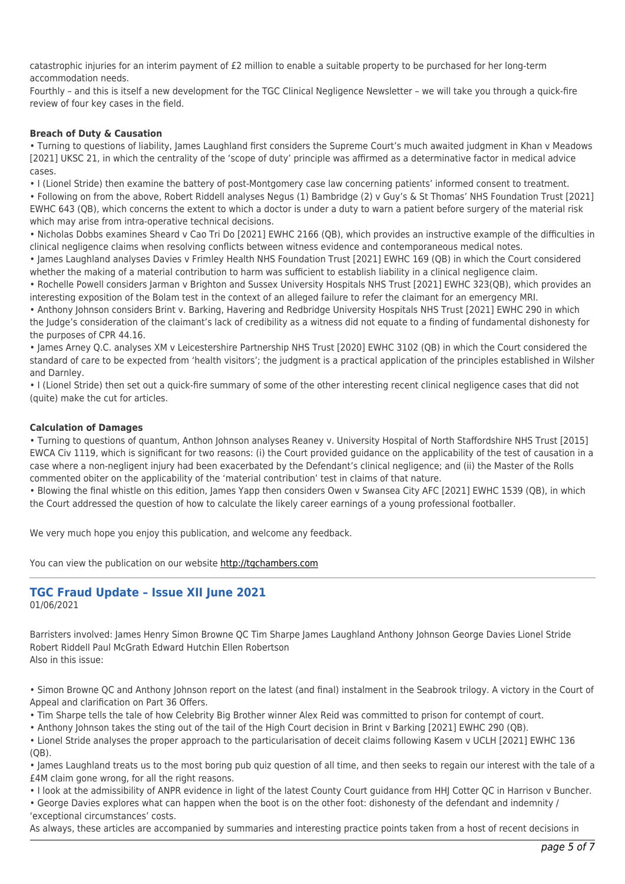catastrophic injuries for an interim payment of £2 million to enable a suitable property to be purchased for her long-term accommodation needs.

Fourthly – and this is itself a new development for the TGC Clinical Negligence Newsletter – we will take you through a quick-fire review of four key cases in the field.

#### **Breach of Duty & Causation**

• Turning to questions of liability, James Laughland first considers the Supreme Court's much awaited judgment in Khan v Meadows [2021] UKSC 21, in which the centrality of the 'scope of duty' principle was affirmed as a determinative factor in medical advice cases.

• I (Lionel Stride) then examine the battery of post-Montgomery case law concerning patients' informed consent to treatment.

• Following on from the above, Robert Riddell analyses Negus (1) Bambridge (2) v Guy's & St Thomas' NHS Foundation Trust [2021] EWHC 643 (QB), which concerns the extent to which a doctor is under a duty to warn a patient before surgery of the material risk which may arise from intra-operative technical decisions.

• Nicholas Dobbs examines Sheard v Cao Tri Do [2021] EWHC 2166 (QB), which provides an instructive example of the difficulties in clinical negligence claims when resolving conflicts between witness evidence and contemporaneous medical notes.

• James Laughland analyses Davies v Frimley Health NHS Foundation Trust [2021] EWHC 169 (QB) in which the Court considered whether the making of a material contribution to harm was sufficient to establish liability in a clinical negligence claim.

• Rochelle Powell considers Jarman v Brighton and Sussex University Hospitals NHS Trust [2021] EWHC 323(QB), which provides an interesting exposition of the Bolam test in the context of an alleged failure to refer the claimant for an emergency MRI.

• Anthony Johnson considers Brint v. Barking, Havering and Redbridge University Hospitals NHS Trust [2021] EWHC 290 in which the Judge's consideration of the claimant's lack of credibility as a witness did not equate to a finding of fundamental dishonesty for the purposes of CPR 44.16.

• James Arney Q.C. analyses XM v Leicestershire Partnership NHS Trust [2020] EWHC 3102 (QB) in which the Court considered the standard of care to be expected from 'health visitors'; the judgment is a practical application of the principles established in Wilsher and Darnley.

• I (Lionel Stride) then set out a quick-fire summary of some of the other interesting recent clinical negligence cases that did not (quite) make the cut for articles.

#### **Calculation of Damages**

• Turning to questions of quantum, Anthon Johnson analyses Reaney v. University Hospital of North Staffordshire NHS Trust [2015] EWCA Civ 1119, which is significant for two reasons: (i) the Court provided guidance on the applicability of the test of causation in a case where a non-negligent injury had been exacerbated by the Defendant's clinical negligence; and (ii) the Master of the Rolls commented obiter on the applicability of the 'material contribution' test in claims of that nature.

• Blowing the final whistle on this edition, James Yapp then considers Owen v Swansea City AFC [2021] EWHC 1539 (QB), in which the Court addressed the question of how to calculate the likely career earnings of a young professional footballer.

We very much hope you enjoy this publication, and welcome any feedback.

You can view the publication on our website [http://tgchambers.com](https://tgchambers.com/wp-content/uploads/2021/11/TGC073_Clin_Neg_Newsletter_Issue2_v3.pdf)

#### **TGC Fraud Update – Issue XII June 2021** 01/06/2021

Barristers involved: James Henry Simon Browne QC Tim Sharpe James Laughland Anthony Johnson George Davies Lionel Stride Robert Riddell Paul McGrath Edward Hutchin Ellen Robertson Also in this issue:

• Simon Browne QC and Anthony Johnson report on the latest (and final) instalment in the Seabrook trilogy. A victory in the Court of Appeal and clarification on Part 36 Offers.

• Tim Sharpe tells the tale of how Celebrity Big Brother winner Alex Reid was committed to prison for contempt of court.

• Anthony Johnson takes the sting out of the tail of the High Court decision in Brint v Barking [2021] EWHC 290 (QB).

• Lionel Stride analyses the proper approach to the particularisation of deceit claims following Kasem v UCLH [2021] EWHC 136 (QB).

• James Laughland treats us to the most boring pub quiz question of all time, and then seeks to regain our interest with the tale of a £4M claim gone wrong, for all the right reasons.

• I look at the admissibility of ANPR evidence in light of the latest County Court guidance from HHJ Cotter QC in Harrison v Buncher.

• George Davies explores what can happen when the boot is on the other foot: dishonesty of the defendant and indemnity / 'exceptional circumstances' costs.

As always, these articles are accompanied by summaries and interesting practice points taken from a host of recent decisions in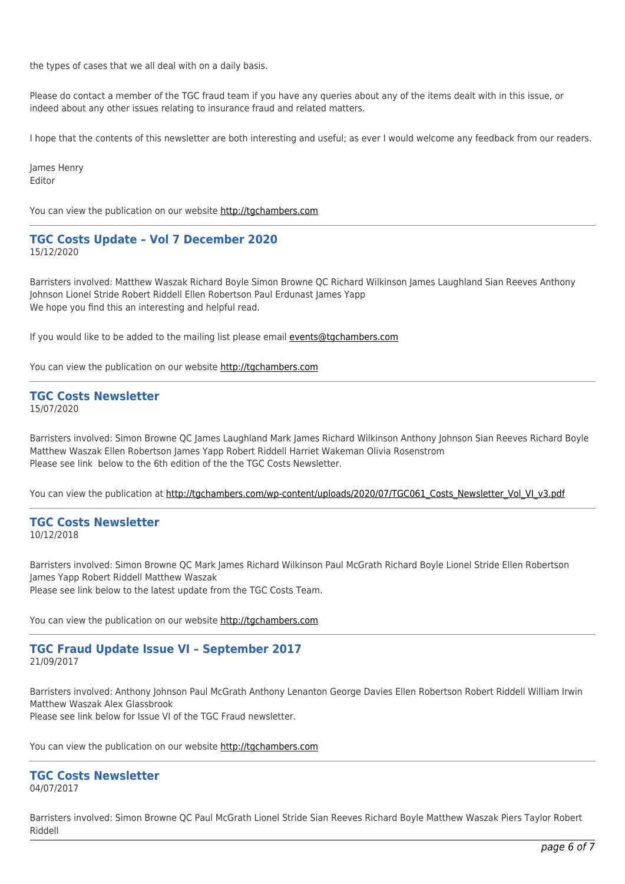the types of cases that we all deal with on a daily basis.

Please do contact a member of the TGC fraud team if you have any queries about any of the items dealt with in this issue, or indeed about any other issues relating to insurance fraud and related matters.

I hope that the contents of this newsletter are both interesting and useful; as ever I would welcome any feedback from our readers.

James Henry Editor

You can view the publication on our website [http://tgchambers.com](https://tgchambers.com/wp-content/uploads/2021/05/TGC070_Newsletter_Fraud_issue_12_v1-002-1.pdf)

## **TGC Costs Update – Vol 7 December 2020**

15/12/2020

Barristers involved: Matthew Waszak Richard Boyle Simon Browne QC Richard Wilkinson James Laughland Sian Reeves Anthony Johnson Lionel Stride Robert Riddell Ellen Robertson Paul Erdunast James Yapp We hope you find this an interesting and helpful read.

If you would like to be added to the mailing list please email [events@tgchambers.com](mailto:events@tgchambers.com)

You can view the publication on our website [http://tgchambers.com](https://tgchambers.com/wp-content/uploads/2020/12/TGC064_Costs_Newsletter_Vol_VII_v2.pdf)

#### **TGC Costs Newsletter** 15/07/2020

Barristers involved: Simon Browne QC James Laughland Mark James Richard Wilkinson Anthony Johnson Sian Reeves Richard Boyle Matthew Waszak Ellen Robertson James Yapp Robert Riddell Harriet Wakeman Olivia Rosenstrom Please see link below to the 6th edition of the the TGC Costs Newsletter.

You can view the publication at [http://tgchambers.com/wp-content/uploads/2020/07/TGC061\\_Costs\\_Newsletter\\_Vol\\_VI\\_v3.pdf](http://tgchambers.com/wp-content/uploads/2020/07/TGC061_Costs_Newsletter_Vol_VI_v3.pdf)

## **TGC Costs Newsletter**

10/12/2018

Barristers involved: Simon Browne QC Mark James Richard Wilkinson Paul McGrath Richard Boyle Lionel Stride Ellen Robertson James Yapp Robert Riddell Matthew Waszak Please see link below to the latest update from the TGC Costs Team.

You can view the publication on our website [http://tgchambers.com](https://tgchambers.com/wp-content/uploads/2018/12/TGC043_Costs_Newsletter_Vol_III_v4.1.pdf)

#### **TGC Fraud Update Issue VI – September 2017** 21/09/2017

Barristers involved: Anthony Johnson Paul McGrath Anthony Lenanton George Davies Ellen Robertson Robert Riddell William Irwin Matthew Waszak Alex Glassbrook Please see link below for Issue VI of the TGC Fraud newsletter.

You can view the publication on our website [http://tgchambers.com](https://tgchambers.com/wp-content/uploads/2017/09/TGC-Fraud-Update-Issue-VI-September-2017..pdf)

## **TGC Costs Newsletter**

04/07/2017

Barristers involved: Simon Browne QC Paul McGrath Lionel Stride Sian Reeves Richard Boyle Matthew Waszak Piers Taylor Robert Riddell